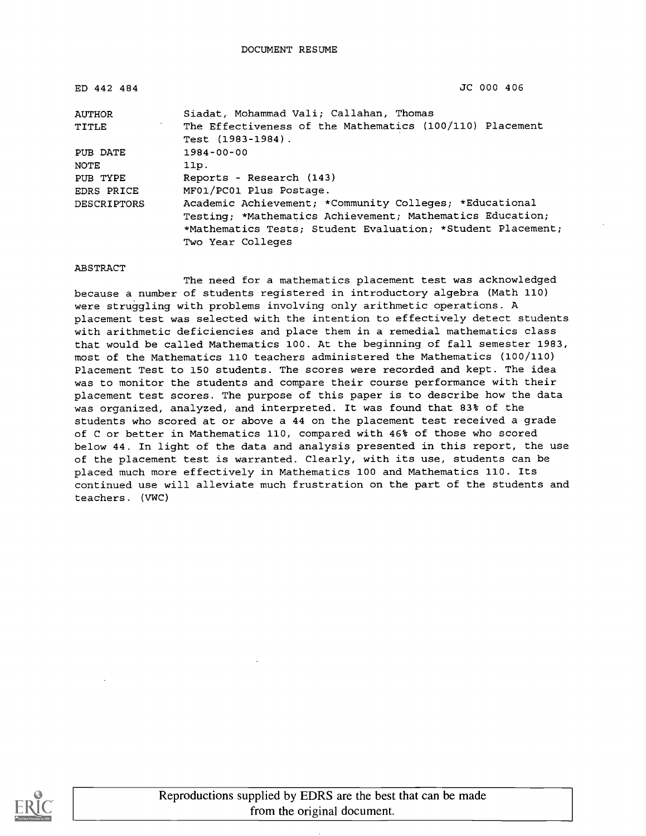| ED 442 484         | JC 000 406                                                                    |
|--------------------|-------------------------------------------------------------------------------|
| <b>AUTHOR</b>      | Siadat, Mohammad Vali; Callahan, Thomas                                       |
| TITLE              | The Effectiveness of the Mathematics (100/110) Placement<br>Test (1983-1984). |
| PUB DATE           | $1984 - 00 - 00$                                                              |
| NOTE               | 11p.                                                                          |
| PUB TYPE           | Reports - Research (143)                                                      |
| EDRS PRICE         | MF01/PC01 Plus Postage.                                                       |
| <b>DESCRIPTORS</b> | Academic Achievement; *Community Colleges; *Educational                       |
|                    | Testing; *Mathematics Achievement; Mathematics Education;                     |
|                    | *Mathematics Tests; Student Evaluation; *Student Placement;                   |
|                    | Two Year Colleges                                                             |

ABSTRACT

The need for a mathematics placement test was acknowledged because a number of students registered in introductory algebra (Math 110) were struggling with problems involving only arithmetic operations. A placement test was selected with the intention to effectively detect students with arithmetic deficiencies and place them in a remedial mathematics class that would be called Mathematics 100. At the beginning of fall semester 1983, most of the Mathematics 110 teachers administered the Mathematics (100/110) Placement Test to 150 students. The scores were recorded and kept. The idea was to monitor the students and compare their course performance with their placement test scores. The purpose of this paper is to describe how the data was organized, analyzed, and interpreted. It was found that 83% of the students who scored at or above a 44 on the placement test received a grade of C or better in Mathematics 110, compared with 46% of those who scored below 44. In light of the data and analysis presented in this report, the use of the placement test is warranted. Clearly, with its use, students can be placed much more effectively in Mathematics 100 and Mathematics 110. Its continued use will alleviate much frustration on the part of the students and teachers. (VWC)

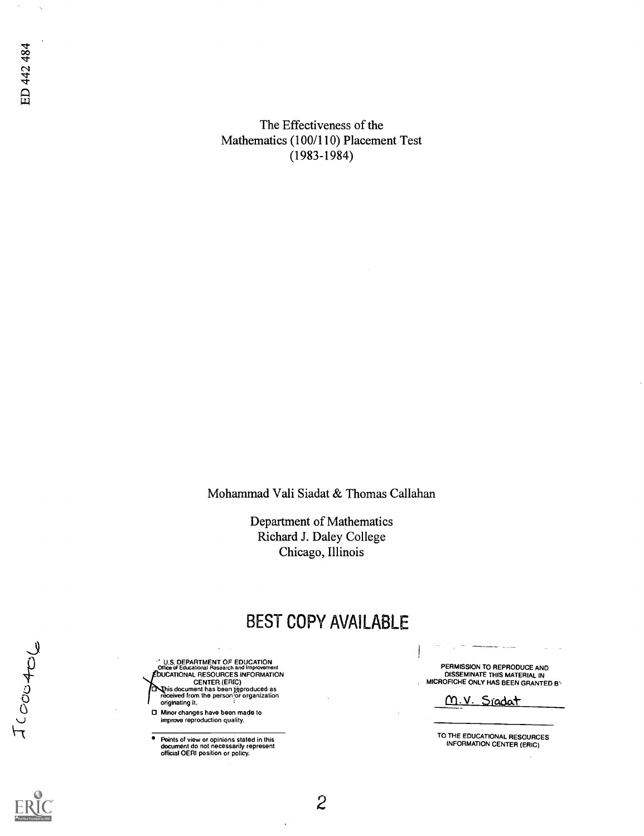The Effectiveness of the Mathematics (100/110) Placement Test (1983-1984)

Mohammad Vali Siadat & Thomas Callahan

Department of Mathematics Richard J. Daley College Chicago, Illinois

## BEST COPY AVAILABLE

 $\overline{c}$ 

**U.S. DEPARTMENT OF EDUCATION**<br>Office of Educational Research and Improvement UCATIONAL RESOURCES INFORMATION CENTER (ERIC)<br>This document has been reproduced as<br>received from the person or organization originating it.

O Minor changes have been made to improve reproduction quality.

Points of view or opinions stated in this document do not necessarily represent official OERI position or policy.

PERMISSION TO REPRODUCE AND DISSEMINATE THIS MATERIAL IN MICROFICHE ONLY HAS BEEN GRANTED BY

M.V. Sradat

TO THE EDUCATIONAL RESOURCES INFORMATION CENTER (ERIC)

ED 442 484

JCOOCAOL

ò,

 $\lambda$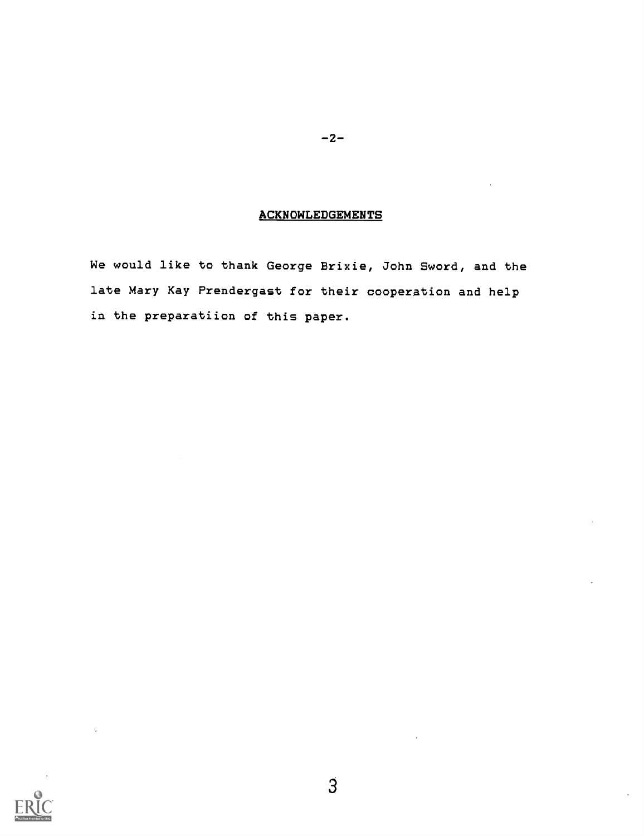#### **ACKNOWLEDGEMENTS**

 $-2-$ 

We would like to thank George Brixie, John Sword, and the late Mary Kay Prendergast for their cooperation and help in the preparatiion of this paper.

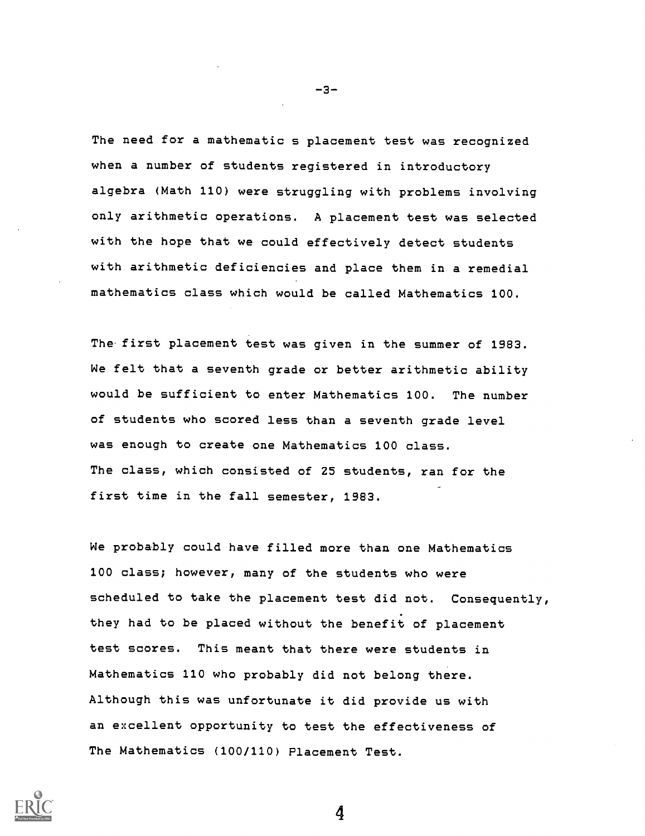The need for a mathematic s placement test was recognized when a number of students registered in introductory algebra (Math 110) were struggling with problems involving only arithmetic operations. A placement test was selected with the hope that we could effectively detect students with arithmetic deficiencies and place them in a remedial mathematics class which would be called Mathematics 100.

The first placement test was given in the summer of 1983. We felt that a seventh grade or better arithmetic ability would be sufficient to enter Mathematics 100. The number of students who scored less than a seventh grade level was enough to create one Mathematics 100 class. The class, which consisted of 25 students, ran for the first time in the fall semester, 1983.

We probably could have filled more than one Mathematics 100 class; however, many of the students who were scheduled to take the placement test did not. Consequently, they had to be placed without the benefit of placement test scores. This meant that there were students in Mathematics 110 who probably did not belong there. Although this was unfortunate it did provide us with an excellent opportunity to test the effectiveness of The Mathematics (100/110) Placement Test.



-3-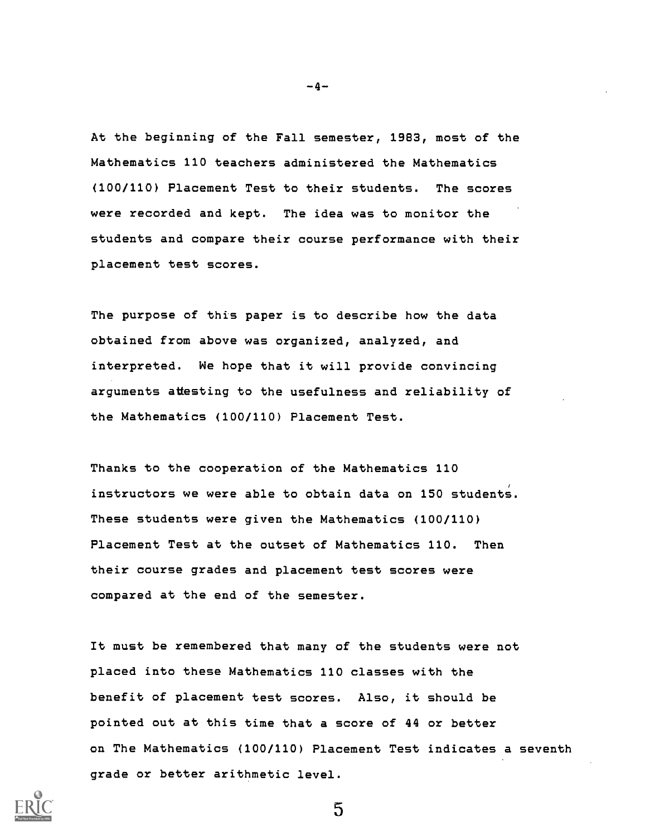At the beginning of the Fall semester, 1983, most of the Mathematics 110 teachers administered the Mathematics (100/110) Placement Test to their students. The scores were recorded and kept. The idea was to monitor the students and compare their course performance with their placement test scores.

The purpose of this paper is to describe how the data obtained from above was organized, analyzed, and interpreted. We hope that it will provide convincing arguments attesting to the usefulness and reliability of the Mathematics (100/110) Placement Test.

Thanks to the cooperation of the Mathematics 110 instructors we were able to obtain data on 150 students. These students were given the Mathematics (100/110) Placement Test at the outset of Mathematics 110. Then their course grades and placement test scores were compared at the end of the semester.

It must be remembered that many of the students were not placed into these Mathematics 110 classes with the benefit of placement test scores. Also, it should be pointed out at this time that a score of 44 or better on The Mathematics (100/110) Placement Test indicates a seventh grade or better arithmetic level.



 $-4-$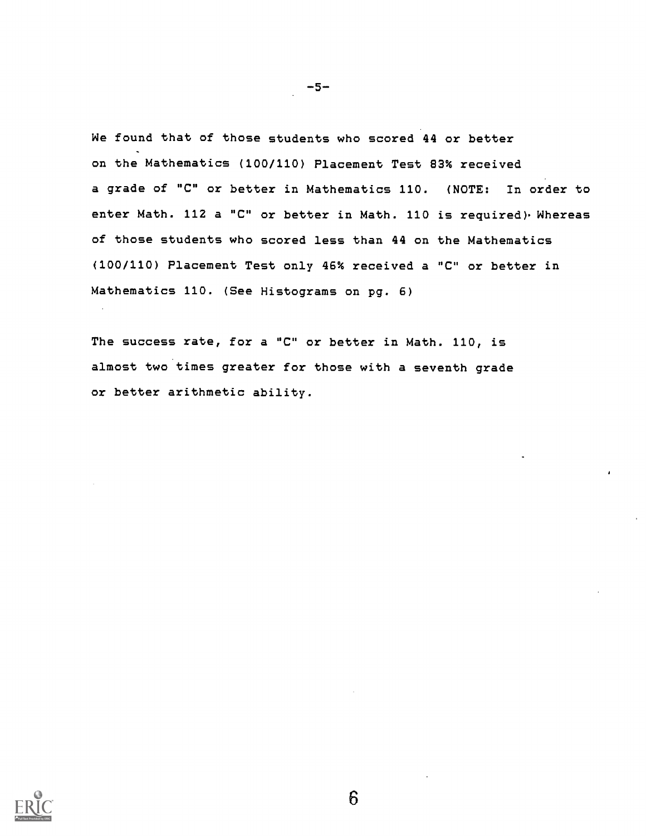We found that of those students who scored 44 or better on the Mathematics (100/110) Placement Test 83% received a grade of "C" or better in Mathematics 110. (NOTE: In order to enter Math. 112 a "C" or better in Math. 110 is required). Whereas of those students who scored less than 44 on the Mathematics (100/110) Placement Test only 46% received a "C" or better in Mathematics 110. (See Histograms on pg. 6)

The success rate, for a "C" or better in Math. 110, is almost two times greater for those with a seventh grade or better arithmetic ability.

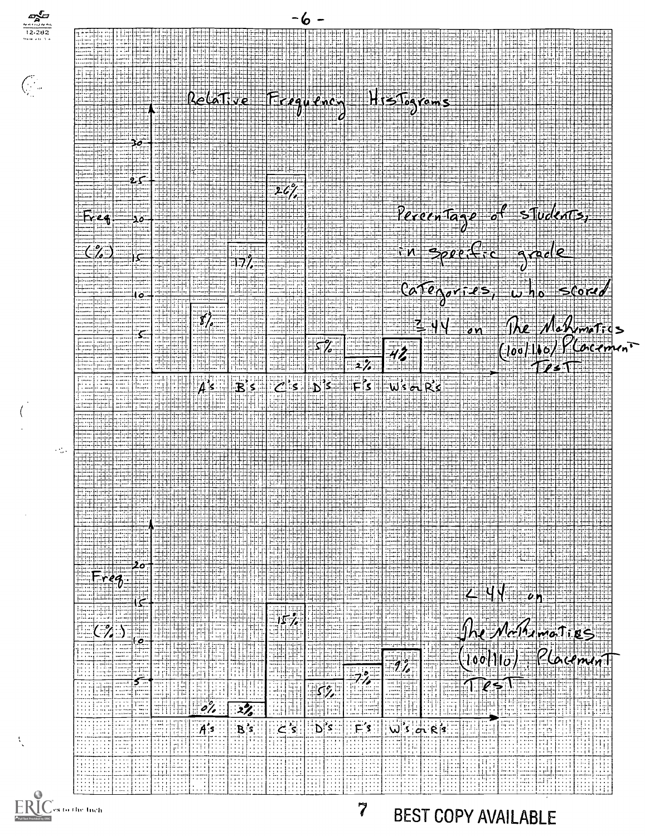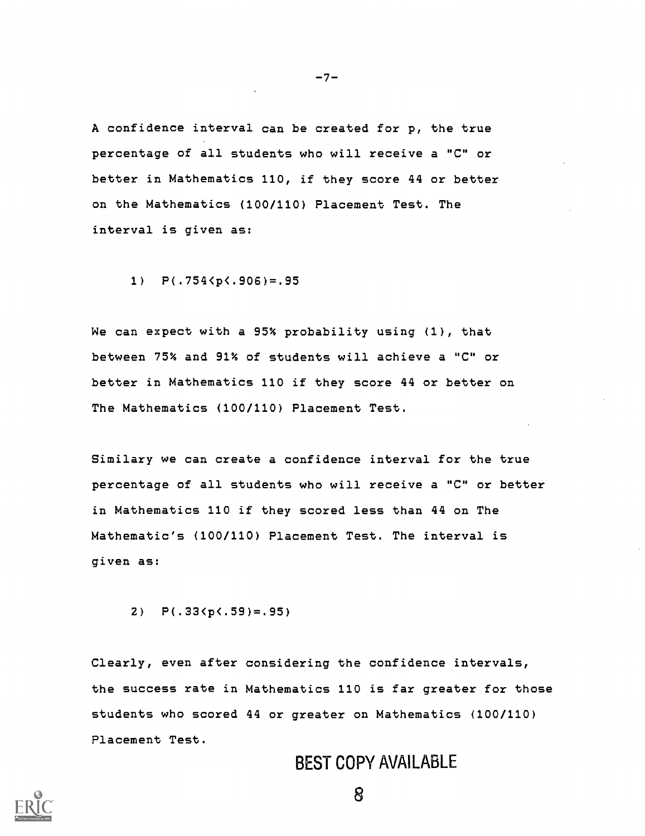A confidence interval can be created for p, the true percentage of all students who will receive a "C" or better in Mathematics 110, if they score 44 or better on the Mathematics (100/110) Placement Test. The interval is given as:

 $-7-$ 

1)  $P(.754 < p < .906) = .95$ 

We can expect with a 95% probability using (1), that between 75% and 91% of students will achieve a "C" or better in Mathematics 110 if they score 44 or better on The Mathematics (100/110) Placement Test.

Similary we can create a confidence interval for the true percentage of all students who will receive a "C" or better in Mathematics 110 if they scored less than 44 on The Mathematic's (100/110) Placement Test. The interval is given as:

2)  $P(.33(p\cdot .59) = .95)$ 

Clearly, even after considering the confidence intervals, the success rate in Mathematics 110 is far greater for those students who scored 44 or greater on Mathematics (100/110) Placement Test.

## BEST COPY AVAILABLE

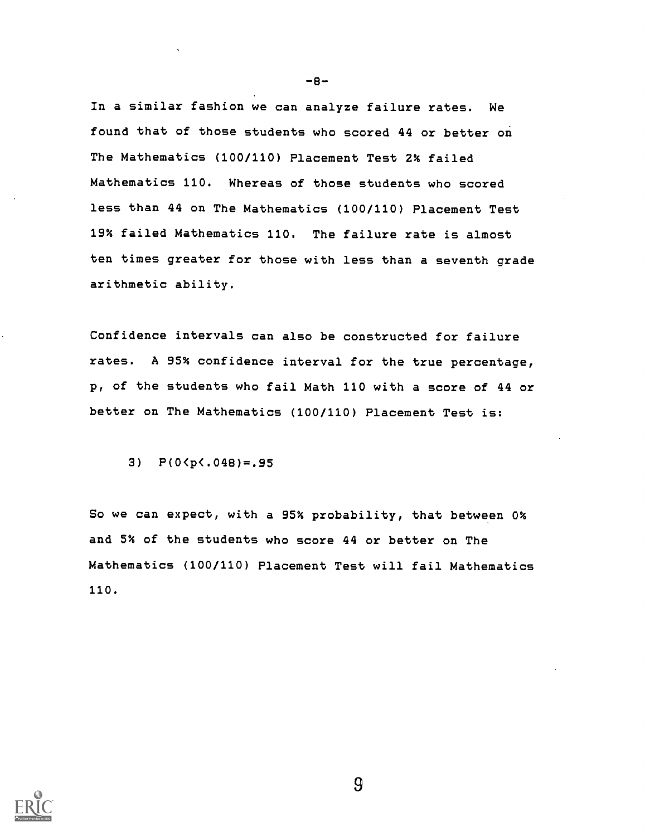In a similar fashion we can analyze failure rates. We found that of those students who scored 44 or better on The Mathematics (100/110) Placement Test 2% failed Mathematics 110. Whereas of those students who scored less than 44 on The Mathematics (100/110) Placement Test 19% failed Mathematics 110. The failure rate is almost ten times greater for those with less than a seventh grade arithmetic ability.

Confidence intervals can also be constructed for failure rates. A 95% confidence interval for the true percentage, p, of the students who fail Math 110 with a score of 44 or better on The Mathematics (100/110) Placement Test is:

3) P(0<p(.048)=.95

So we can expect, with a 95% probability, that between 0% and 5% of the students who score 44 or better on The Mathematics (100/110) Placement Test will fail Mathematics 110.



 $-8-$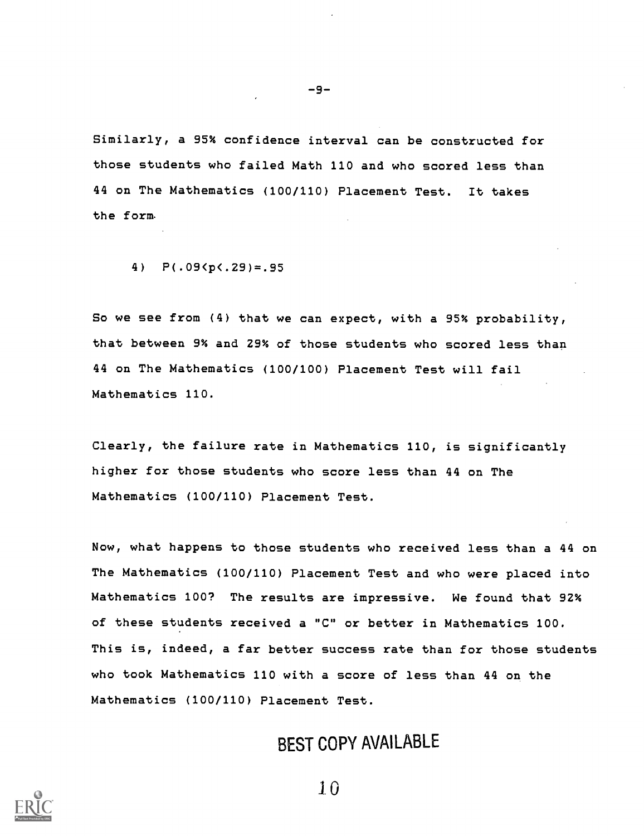Similarly, a 95% confidence interval can be constructed for those students who failed Math 110 and who scored less than 44 on The Mathematics (100/110) Placement Test. It takes the form

-9-

4)  $P(.095C.29) = .95$ 

So we see from (4) that we can expect, with a 95% probability, that between 9% and 29% of those students who scored less than 44 on The Mathematics (100/100) Placement Test will fail Mathematics 110.

Clearly, the failure rate in Mathematics 110, is significantly higher for those students who score less than 44 on The Mathematics (100/110) Placement Test.

Now, what happens to those students who received less than a 44 on The Mathematics (100/110) Placement Test and who were placed into Mathematics 100? The results are impressive. We found that 92% of these students received a "C" or better in Mathematics 100. This is, indeed, a far better success rate than for those students who took Mathematics 110 with a score of less than 44 on the Mathematics (100/110) Placement Test.

## BEST COPY AVAILABLE

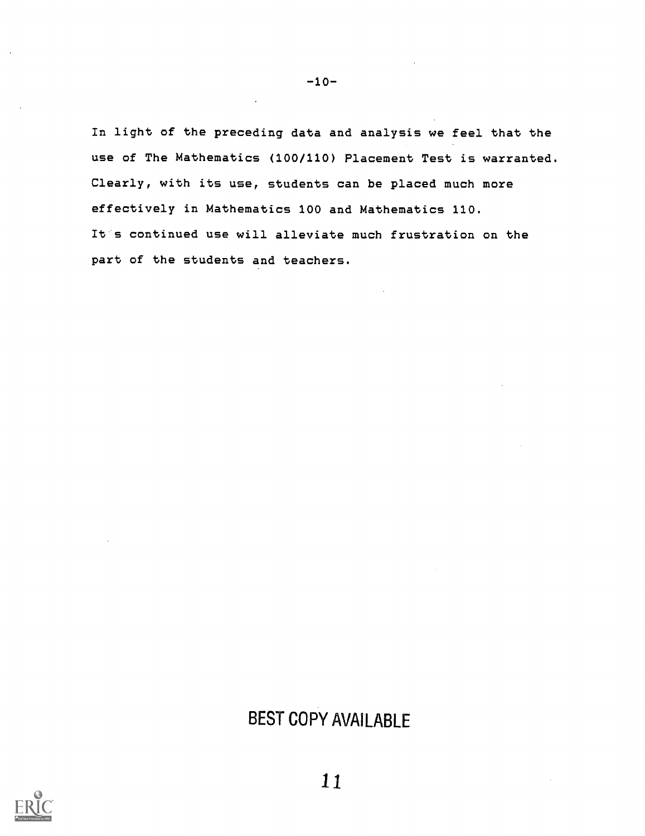In light of the preceding data and analysis we feel that the use of The Mathematics (100/110) Placement Test is warranted. Clearly, with its use, students can be placed much more effectively in Mathematics 100 and Mathematics 110. It s continued use will alleviate much frustration on the part of the students and teachers.

# BEST COPY AVAILABLE



-10-